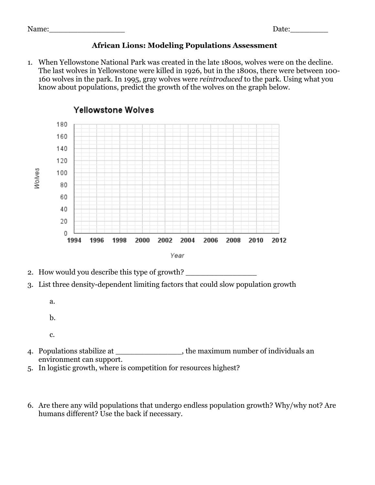## **African Lions: Modeling Populations Assessment**

1. When Yellowstone National Park was created in the late 1800s, wolves were on the decline. The last wolves in Yellowstone were killed in 1926, but in the 1800s, there were between 100- 160 wolves in the park. In 1995, gray wolves were *reintroduced* to the park. Using what you know about populations, predict the growth of the wolves on the graph below.



# Yellowstone Wolves



- 3. List three density-dependent limiting factors that could slow population growth
	- a.
	- b.
	- c.
- 4. Populations stabilize at \_\_\_\_\_\_\_\_\_\_\_\_\_\_, the maximum number of individuals an environment can support.
- 5. In logistic growth, where is competition for resources highest?
- 6. Are there any wild populations that undergo endless population growth? Why/why not? Are humans different? Use the back if necessary.